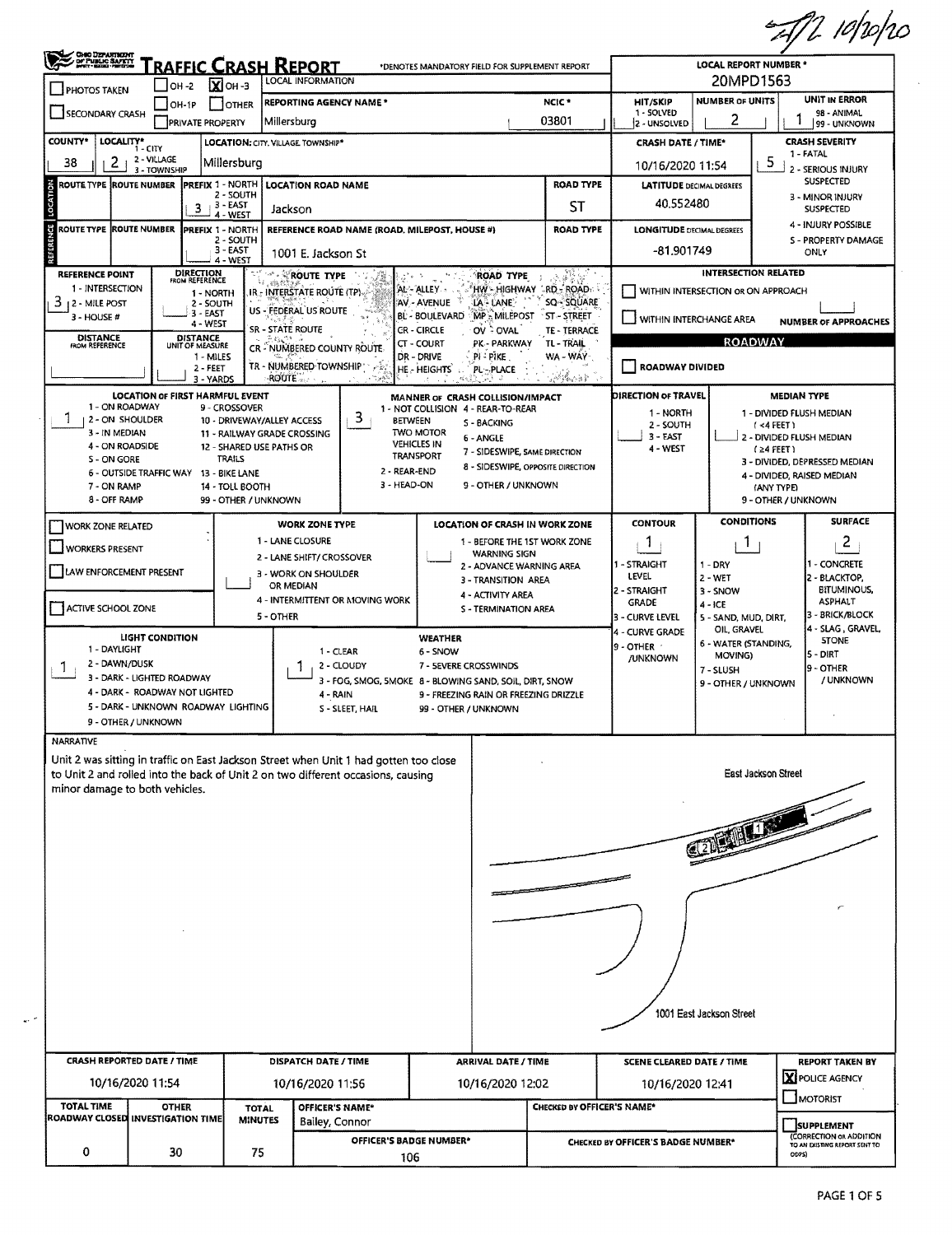$=$   $\pi/2$  10/10/10

|                                                                                                                                 | CHO DEPARTMENT                                        | <u>"raffic Crash Report</u>                                                                                                                                                               |                                                                                                                                                                           |                                                     | *DENOTES MANDATORY FIELD FOR SUPPLEMENT REPORT                                                                                                                                                                                                                       |                                                                      |                                                                         | <b>LOCAL REPORT NUMBER *</b>                                                          |                                                                                                                                                                                                                |  |  |
|---------------------------------------------------------------------------------------------------------------------------------|-------------------------------------------------------|-------------------------------------------------------------------------------------------------------------------------------------------------------------------------------------------|---------------------------------------------------------------------------------------------------------------------------------------------------------------------------|-----------------------------------------------------|----------------------------------------------------------------------------------------------------------------------------------------------------------------------------------------------------------------------------------------------------------------------|----------------------------------------------------------------------|-------------------------------------------------------------------------|---------------------------------------------------------------------------------------|----------------------------------------------------------------------------------------------------------------------------------------------------------------------------------------------------------------|--|--|
| <b>PHOTOS TAKEN</b>                                                                                                             | OH 2                                                  | $X$ OH-3                                                                                                                                                                                  | <b>LOCAL INFORMATION</b>                                                                                                                                                  |                                                     |                                                                                                                                                                                                                                                                      |                                                                      | 20MPD1563                                                               |                                                                                       |                                                                                                                                                                                                                |  |  |
| SECONDARY CRASH                                                                                                                 | OH-1P                                                 | OTHER                                                                                                                                                                                     | <b>REPORTING AGENCY NAME*</b>                                                                                                                                             |                                                     |                                                                                                                                                                                                                                                                      | HIT/SKIP<br>1 SOLVED                                                 | <b>NUMBER OF UNITS</b>                                                  | <b>UNIT IN ERROR</b><br>98 - ANIMAL                                                   |                                                                                                                                                                                                                |  |  |
|                                                                                                                                 |                                                       | <b>PRIVATE PROPERTY</b>                                                                                                                                                                   | Millersburg                                                                                                                                                               |                                                     |                                                                                                                                                                                                                                                                      | 03801                                                                | 2 - UNSOLVED                                                            | 2                                                                                     | 99 - UNKNOWN                                                                                                                                                                                                   |  |  |
| COUNTY*<br>LOCALITY*                                                                                                            | $1 - CITY$<br>2 - VILLAGE                             |                                                                                                                                                                                           | LOCATION: CITY, VILLAGE TOWNSHIP*                                                                                                                                         |                                                     |                                                                                                                                                                                                                                                                      | <b>CRASH DATE / TIME*</b>                                            |                                                                         | <b>CRASH SEVERITY</b><br>1 - FATAL                                                    |                                                                                                                                                                                                                |  |  |
| 2<br>38                                                                                                                         | 3 - TOWNSHIP                                          | Millersburg                                                                                                                                                                               |                                                                                                                                                                           |                                                     |                                                                                                                                                                                                                                                                      | 10/16/2020 11:54                                                     | 5                                                                       | - SERIOUS INJURY                                                                      |                                                                                                                                                                                                                |  |  |
| ROUTE TYPE ¦ROUTE NUMBER                                                                                                        |                                                       | <b>PREFIX 1 - NORTH</b><br>2 - SOUTH<br>$+3 - EAST$                                                                                                                                       | <b>LOCATION ROAD NAME</b>                                                                                                                                                 |                                                     |                                                                                                                                                                                                                                                                      | <b>LATITUDE DECIMAL DEGREES</b><br>40.552480                         | <b>SUSPECTED</b><br>3 - MINOR INJURY                                    |                                                                                       |                                                                                                                                                                                                                |  |  |
|                                                                                                                                 |                                                       | 3<br>4 - WEST                                                                                                                                                                             | Jackson                                                                                                                                                                   |                                                     |                                                                                                                                                                                                                                                                      |                                                                      |                                                                         | <b>SUSPECTED</b>                                                                      |                                                                                                                                                                                                                |  |  |
| ь<br>ROUTE TYPE ROUTE NUMBER                                                                                                    |                                                       | <b>PREFIX 1 - NORTH</b><br>2 - SOUTH<br>$3 - EAST$<br>4 - WEST                                                                                                                            | 1001 E. Jackson St                                                                                                                                                        |                                                     | REFERENCE ROAD NAME (ROAD, MILEPOST, HOUSE #)                                                                                                                                                                                                                        | <b>LONGITUDE DECIMAL DEGREES</b><br>-81.901749                       | 4 - INJURY POSSIBLE<br>S - PROPERTY DAMAGE<br>ONLY                      |                                                                                       |                                                                                                                                                                                                                |  |  |
| <b>REFERENCE POINT</b><br>1 - INTERSECTION<br>3<br>12 - MILE POST<br>3 - HOUSE #                                                |                                                       | <b>DIRECTION</b><br>FROM REFERENCE<br>1 - NORTH<br>2 - SOUTH<br>3 - EAST<br>4 - WEST                                                                                                      | <b><i>A</i></b> ROUTE TYPE<br>IR - INTERSTATE ROUTE (TP).<br>US - FEDERAL US ROUTE<br>SR - STATE ROUTE                                                                    |                                                     | <b>ROAD TYPE</b><br>u s<br>AL-ALLEY<br>AV - AVENUE<br>LA LANE<br><b>MP MILEPOST</b><br><b>BL - BOULEVARD</b><br><b>CR-CIRCLE</b><br>OV - OVAL                                                                                                                        | HW - HIGHWAY GRD - ROAD<br>SQ-SQUARE<br>≅ST – STREET<br>TE - TERRACE |                                                                         | INTERSECTION RELATED<br>WITHIN INTERSECTION OR ON APPROACH<br>WITHIN INTERCHANGE AREA | <b>NUMBER OF APPROACHES</b>                                                                                                                                                                                    |  |  |
| <b>DISTANCE</b><br>FROM REFERENCE                                                                                               |                                                       | <b>DISTANCE</b><br>UNIT OF MEASURE<br>1 - MILES<br>2 - FEET<br>3 - YARDS                                                                                                                  | CR - NUMBERED COUNTY ROUTE<br>TR - NUMBERED TOWNSHIP<br><b>ROUTE</b>                                                                                                      | أتتقاس                                              | CT - COURT<br>PK - PARKWAY<br>DR - DRIVE<br>PI-PIKE.<br>HE - HEIGHTS<br>PL-PLACE                                                                                                                                                                                     | TL - TRAIL<br>WA - WAY<br>被搞小孩子                                      | ROADWAY DIVIDED                                                         | <b>ROADWAY</b>                                                                        |                                                                                                                                                                                                                |  |  |
| 1 - ON ROADWAY<br>1<br><b>2 - ON SHOULDER</b><br>3 - IN MEDIAN<br>4 - ON ROADSIDE<br>S - ON GORE<br>7 - ON RAMP<br>8 - OFF RAMP |                                                       | <b>LOCATION OF FIRST HARMFUL EVENT</b><br>9 - CROSSOVER<br>12 - SHARED USE PATHS OR<br><b>TRAILS</b><br>6 - OUTSIDE TRAFFIC WAY 13 - BIKE LANE<br>14 - TOLL BOOTH<br>99 - OTHER / UNKNOWN | 10 - DRIVEWAY/ALLEY ACCESS<br>11 - RAILWAY GRADE CROSSING                                                                                                                 | 3.<br><b>BETWEEN</b><br>2 - REAR-END<br>3 - HEAD-ON | MANNER OF CRASH COLLISION/IMPACT<br>1 - NOT COLLISION 4 - REAR-TO-REAR<br><b>S - BACKING</b><br><b>TWO MOTOR</b><br>6 - ANGLE<br><b>VEHICLES IN</b><br>7 - SIDESWIPE, SAME DIRECTION<br><b>TRANSPORT</b><br>8 - SIDESWIPE, OPPOSITE DIRECTION<br>9 - OTHER / UNKNOWN |                                                                      | DIRECTION OF TRAVEL<br>1 - NORTH<br>2 - SOUTH<br>$3 - EAST$<br>4 - WEST |                                                                                       | <b>MEDIAN TYPE</b><br>1 - DIVIDED FLUSH MEDIAN<br>$1 < 4$ FEET)<br>2 - DIVIDED FLUSH MEDIAN<br>$(24$ FEET)<br>3 - DIVIDED, DEPRESSED MEDIAN<br>4 - DIVIDED, RAISED MEDIAN<br>(ANY TYPE)<br>9 - OTHER / UNKNOWN |  |  |
| <b>WORK ZONE RELATED</b>                                                                                                        |                                                       |                                                                                                                                                                                           | <b>WORK ZONE TYPE</b>                                                                                                                                                     |                                                     | LOCATION OF CRASH IN WORK ZONE                                                                                                                                                                                                                                       |                                                                      | <b>CONTOUR</b>                                                          | <b>CONDITIONS</b>                                                                     | <b>SURFACE</b>                                                                                                                                                                                                 |  |  |
|                                                                                                                                 |                                                       |                                                                                                                                                                                           | 1 - LANE CLOSURE                                                                                                                                                          |                                                     | 1 - BEFORE THE 1ST WORK ZONE                                                                                                                                                                                                                                         |                                                                      | 1                                                                       | $\mathbf{L}$                                                                          | 2                                                                                                                                                                                                              |  |  |
| <b>WORKERS PRESENT</b>                                                                                                          |                                                       |                                                                                                                                                                                           | 2 - LANE SHIFT/ CROSSOVER                                                                                                                                                 |                                                     | <b>WARNING SIGN</b>                                                                                                                                                                                                                                                  |                                                                      | 1 - STRAIGHT                                                            | $1 - DRY$                                                                             | - CONCRETE                                                                                                                                                                                                     |  |  |
| LAW ENFORCEMENT PRESENT                                                                                                         |                                                       |                                                                                                                                                                                           | 3 - WORK ON SHOULDER                                                                                                                                                      |                                                     | 2 - ADVANCE WARNING AREA<br>3 - TRANSITION AREA                                                                                                                                                                                                                      |                                                                      | LEVEL                                                                   | 2 WET                                                                                 | 2 - BLACKTOP,                                                                                                                                                                                                  |  |  |
|                                                                                                                                 |                                                       |                                                                                                                                                                                           | OR MEDIAN                                                                                                                                                                 |                                                     | 4 - ACTIVITY AREA                                                                                                                                                                                                                                                    |                                                                      | 2 - STRAIGHT                                                            | 3 - SNOW                                                                              | <b>BITUMINOUS,</b>                                                                                                                                                                                             |  |  |
| ACTIVE SCHOOL ZONE                                                                                                              |                                                       |                                                                                                                                                                                           | 4 - INTERMITTENT OR MOVING WORK<br>5 - OTHER                                                                                                                              |                                                     | <b>S - TERMINATION AREA</b>                                                                                                                                                                                                                                          |                                                                      | <b>GRADE</b><br>3 - CURVE LEVEL                                         | 4 - ICE<br>5 - SAND, MUD, DIRT,                                                       | <b>ASPHALT</b><br>3 - BRICK/BLOCK                                                                                                                                                                              |  |  |
|                                                                                                                                 | <b>LIGHT CONDITION</b>                                |                                                                                                                                                                                           |                                                                                                                                                                           |                                                     | <b>WEATHER</b>                                                                                                                                                                                                                                                       |                                                                      | 4 - CURVE GRADE                                                         | OIL, GRAVEL                                                                           | 4 - SLAG, GRAVEL,<br><b>STONE</b>                                                                                                                                                                              |  |  |
| 1 - DAYLIGHT                                                                                                                    |                                                       |                                                                                                                                                                                           |                                                                                                                                                                           | 1 - CLEAR                                           | 6 - SNOW                                                                                                                                                                                                                                                             |                                                                      | 9 - OTHER                                                               | 6 - WATER (STANDING,<br>MOVING)                                                       | 5 - DIRT                                                                                                                                                                                                       |  |  |
| 2 - DAWN/DUSK<br>L                                                                                                              |                                                       |                                                                                                                                                                                           |                                                                                                                                                                           | 2 - CLOUDY                                          | 7 - SEVERE CROSSWINDS                                                                                                                                                                                                                                                |                                                                      | <b>/UNKNOWN</b>                                                         | 7 - SLUSH                                                                             | 9 - OTHER                                                                                                                                                                                                      |  |  |
|                                                                                                                                 | 3 - DARK - LIGHTED ROADWAY                            |                                                                                                                                                                                           |                                                                                                                                                                           |                                                     | 3 - FOG, SMOG, SMOKE 8 - BLOWING SAND, SOIL, DIRT, SNOW                                                                                                                                                                                                              |                                                                      |                                                                         | 9 - OTHER / UNKNOWN                                                                   | / UNKNOWN                                                                                                                                                                                                      |  |  |
|                                                                                                                                 | 4 - DARK - ROADWAY NOT LIGHTED                        |                                                                                                                                                                                           | 4 - RAIN                                                                                                                                                                  |                                                     | 9 - FREEZING RAIN OR FREEZING DRIZZLE                                                                                                                                                                                                                                |                                                                      |                                                                         |                                                                                       |                                                                                                                                                                                                                |  |  |
|                                                                                                                                 |                                                       | 5 - DARK - UNKNOWN ROADWAY LIGHTING                                                                                                                                                       |                                                                                                                                                                           | S - SLEET, HAIL                                     | 99 - OTHER / UNKNOWN                                                                                                                                                                                                                                                 |                                                                      |                                                                         |                                                                                       |                                                                                                                                                                                                                |  |  |
|                                                                                                                                 | 9 - OTHER / UNKNOWN                                   |                                                                                                                                                                                           |                                                                                                                                                                           |                                                     |                                                                                                                                                                                                                                                                      |                                                                      |                                                                         |                                                                                       |                                                                                                                                                                                                                |  |  |
| <b>NARRATIVE</b>                                                                                                                |                                                       |                                                                                                                                                                                           |                                                                                                                                                                           |                                                     |                                                                                                                                                                                                                                                                      |                                                                      |                                                                         |                                                                                       |                                                                                                                                                                                                                |  |  |
|                                                                                                                                 |                                                       |                                                                                                                                                                                           |                                                                                                                                                                           |                                                     |                                                                                                                                                                                                                                                                      |                                                                      |                                                                         |                                                                                       |                                                                                                                                                                                                                |  |  |
| minor damage to both vehicles.                                                                                                  |                                                       |                                                                                                                                                                                           | Unit 2 was sitting in traffic on East Jackson Street when Unit 1 had gotten too close<br>to Unit 2 and rolled into the back of Unit 2 on two different occasions, causing |                                                     |                                                                                                                                                                                                                                                                      |                                                                      |                                                                         | East Jackson Street                                                                   |                                                                                                                                                                                                                |  |  |
|                                                                                                                                 |                                                       |                                                                                                                                                                                           |                                                                                                                                                                           |                                                     |                                                                                                                                                                                                                                                                      |                                                                      |                                                                         |                                                                                       |                                                                                                                                                                                                                |  |  |
|                                                                                                                                 |                                                       |                                                                                                                                                                                           |                                                                                                                                                                           |                                                     |                                                                                                                                                                                                                                                                      |                                                                      |                                                                         |                                                                                       |                                                                                                                                                                                                                |  |  |
|                                                                                                                                 |                                                       |                                                                                                                                                                                           |                                                                                                                                                                           |                                                     |                                                                                                                                                                                                                                                                      |                                                                      |                                                                         |                                                                                       |                                                                                                                                                                                                                |  |  |
|                                                                                                                                 |                                                       |                                                                                                                                                                                           |                                                                                                                                                                           |                                                     |                                                                                                                                                                                                                                                                      |                                                                      |                                                                         | <b>C2000 110</b>                                                                      |                                                                                                                                                                                                                |  |  |
|                                                                                                                                 |                                                       |                                                                                                                                                                                           |                                                                                                                                                                           |                                                     |                                                                                                                                                                                                                                                                      |                                                                      |                                                                         |                                                                                       |                                                                                                                                                                                                                |  |  |
|                                                                                                                                 |                                                       |                                                                                                                                                                                           |                                                                                                                                                                           |                                                     |                                                                                                                                                                                                                                                                      |                                                                      |                                                                         | 1001 East Jackson Street                                                              |                                                                                                                                                                                                                |  |  |
|                                                                                                                                 |                                                       |                                                                                                                                                                                           |                                                                                                                                                                           |                                                     |                                                                                                                                                                                                                                                                      |                                                                      |                                                                         |                                                                                       |                                                                                                                                                                                                                |  |  |
|                                                                                                                                 | <b>CRASH REPORTED DATE / TIME</b><br>10/16/2020 11:54 |                                                                                                                                                                                           | DISPATCH DATE / TIME<br>10/16/2020 11:56                                                                                                                                  |                                                     | <b>ARRIVAL DATE / TIME</b><br>10/16/2020 12:02                                                                                                                                                                                                                       |                                                                      | <b>SCENE CLEARED DATE / TIME</b><br>10/16/2020 12:41                    |                                                                                       | <b>REPORT TAKEN BY</b><br>X POLICE AGENCY                                                                                                                                                                      |  |  |
| <b>TOTAL TIME</b>                                                                                                               | <b>OTHER</b>                                          | <b>TOTAL</b><br><b>MINUTES</b>                                                                                                                                                            | <b>OFFICER'S NAME*</b>                                                                                                                                                    |                                                     |                                                                                                                                                                                                                                                                      | CHECKED BY OFFICER'S NAME*                                           |                                                                         |                                                                                       | MOTORIST                                                                                                                                                                                                       |  |  |
| ROADWAY CLOSED INVESTIGATION TIME                                                                                               |                                                       |                                                                                                                                                                                           | Bailey, Connor                                                                                                                                                            | OFFICER'S BADGE NUMBER*                             |                                                                                                                                                                                                                                                                      |                                                                      | CHECKED BY OFFICER'S BADGE NUMBER*                                      |                                                                                       | <b>SUPPLEMENT</b><br>(CORRECTION OR ADDITION<br>TO AN EXISTING REPORT SENT TO                                                                                                                                  |  |  |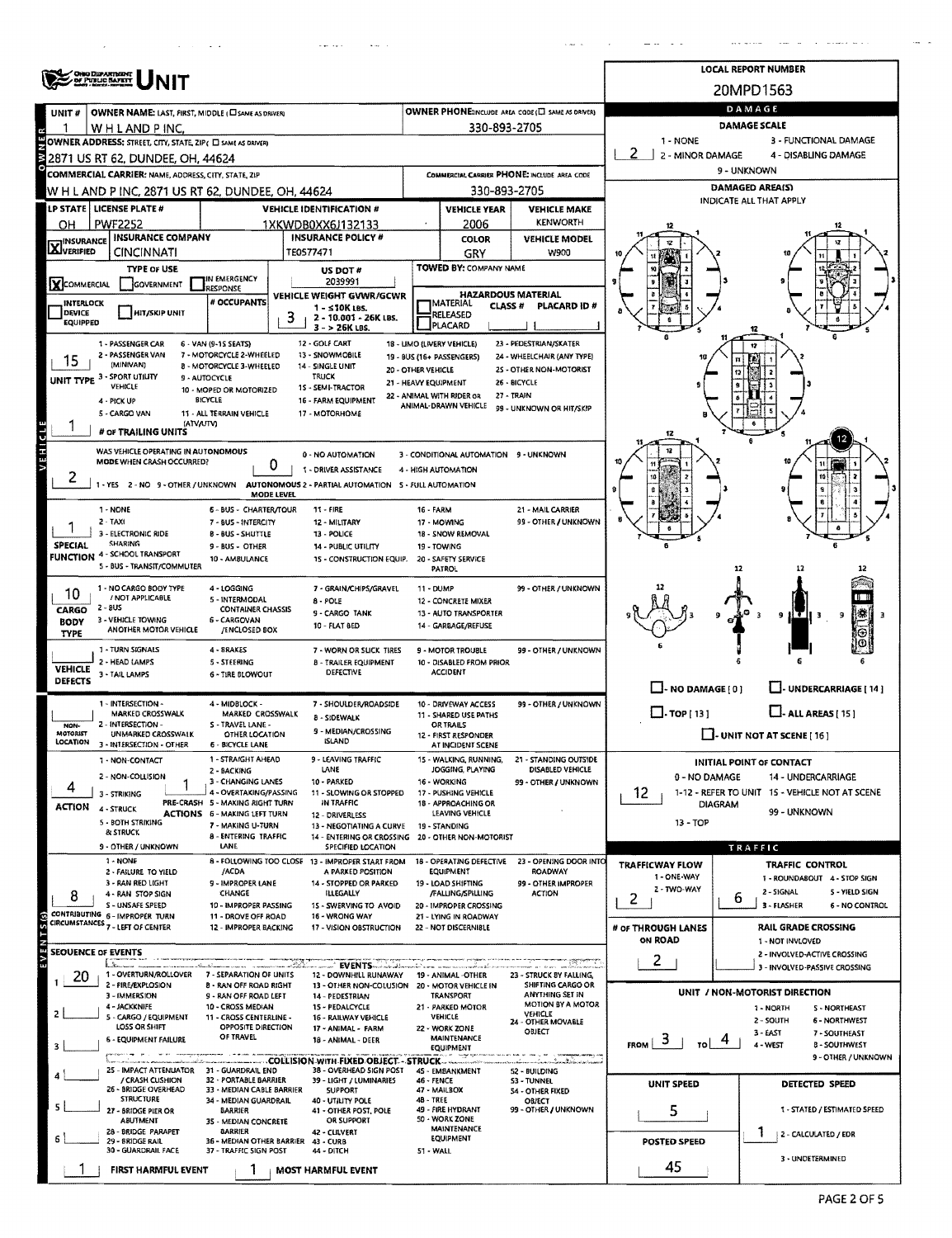|                                   | ONO DIZARTNIRITY<br>OF PUBLIC BAFETY                                                                                    |                                                                        | <b>LOCAL REPORT NUMBER</b>                                                                               |                            |                                                         |                                                      |                                 |                                   |                                                               |  |  |  |  |
|-----------------------------------|-------------------------------------------------------------------------------------------------------------------------|------------------------------------------------------------------------|----------------------------------------------------------------------------------------------------------|----------------------------|---------------------------------------------------------|------------------------------------------------------|---------------------------------|-----------------------------------|---------------------------------------------------------------|--|--|--|--|
|                                   |                                                                                                                         |                                                                        |                                                                                                          |                            |                                                         |                                                      |                                 | 20MPD1563                         |                                                               |  |  |  |  |
| UNIT#                             | OWNER NAME: LAST, FIRST, MIDDLE (CI SAME AS DRIVER)                                                                     |                                                                        | OWNER PHONE:INCLUDE AREA CODE (E) SAME AS DRIVER)                                                        | DAMAGE                     |                                                         |                                                      |                                 |                                   |                                                               |  |  |  |  |
| 1                                 | WH LAND PINC.                                                                                                           |                                                                        | 330-893-2705                                                                                             | <b>DAMAGE SCALE</b>        |                                                         |                                                      |                                 |                                   |                                                               |  |  |  |  |
|                                   | 1 - NONE<br>3 - FUNCTIONAL DAMAGE<br>OWNER ADDRESS: STREET, CITY, STATE, ZIP( E SAME AS DRIVER)<br>4 - DISABLING DAMAGE |                                                                        |                                                                                                          |                            |                                                         |                                                      |                                 |                                   |                                                               |  |  |  |  |
|                                   | 2871 US RT 62, DUNDEE, OH, 44624<br><b>COMMERCIAL CARRIER: NAME, ADDRESS, CITY, STATE, ZIP</b>                          |                                                                        |                                                                                                          |                            |                                                         | COMMERCIAL CARRIER PHONE: INCLUDE AREA CODE          | 2 - MINOR DAMAGE<br>9 - UNKNOWN |                                   |                                                               |  |  |  |  |
|                                   | W H L AND P INC, 2871 US RT 62, DUNDEE, OH, 44624                                                                       |                                                                        |                                                                                                          |                            | 330-893-2705                                            |                                                      | <b>DAMAGED AREA(S)</b>          |                                   |                                                               |  |  |  |  |
|                                   | LP STATE   LICENSE PLATE #                                                                                              |                                                                        | <b>VEHICLE IDENTIFICATION #</b>                                                                          |                            | <b>VEHICLE YEAR</b>                                     | <b>VEHICLE MAKE</b>                                  | INDICATE ALL THAT APPLY         |                                   |                                                               |  |  |  |  |
| OН                                | <b>PWF2252</b>                                                                                                          |                                                                        | 1XKWDB0XX6J132133                                                                                        |                            | 2006                                                    | <b>KENWORTH</b>                                      |                                 |                                   |                                                               |  |  |  |  |
| <b>X</b> INSURANCE                | <b>INSURANCE COMPANY</b>                                                                                                |                                                                        | <b>INSURANCE POLICY #</b>                                                                                |                            | <b>COLOR</b>                                            | <b>VEHICLE MODEL</b>                                 |                                 |                                   |                                                               |  |  |  |  |
|                                   | CINCINNATI                                                                                                              |                                                                        | TE0577471                                                                                                |                            | GRY                                                     | <b>W900</b>                                          |                                 |                                   |                                                               |  |  |  |  |
|                                   | <b>TYPE OF USE</b>                                                                                                      | IN EMERGENCY                                                           | US DOT #<br>2039991                                                                                      |                            | TOWED BY: COMPANY NAME                                  |                                                      |                                 |                                   |                                                               |  |  |  |  |
| XCOMMERCIAL                       | GOVERNMENT                                                                                                              | RESPONSE<br># OCCUPANTS                                                | VEHICLE WEIGHT GVWR/GCWR                                                                                 |                            | <b>HAZARDOUS MATERIAL</b>                               |                                                      |                                 |                                   |                                                               |  |  |  |  |
| <b>INTERLOCK</b><br><b>DEVICE</b> | <b>HIT/SKIP UNIT</b>                                                                                                    |                                                                        | 1 - ≤10K LBS.<br>2 - 10.001 - 26K LBS.                                                                   |                            | <b>IMATERIAL</b><br><b>CLASS #</b><br>RELEASED          | PLACARD ID#                                          |                                 |                                   |                                                               |  |  |  |  |
| <b>EQUIPPED</b>                   |                                                                                                                         |                                                                        | 3 - > 26K LBS.                                                                                           |                            | <b>JPLACARD</b>                                         |                                                      |                                 |                                   |                                                               |  |  |  |  |
|                                   | 1 - PASSENGER CAR<br>2 - PASSENGER VAN                                                                                  | 6 - VAN (9-15 SEATS)<br>7 - MOTORCYCLE 2-WHEELED                       | 12 - GOLF CART<br>13 - SNOWMOBILE                                                                        |                            | 18 - LIMO (LIVERY VEHICLE)<br>19 - BUS (16+ PASSENGERS) | 23 - PEDESTRIAN/SKATER<br>24 - WHEELCHAIR (ANY TYPE) |                                 |                                   |                                                               |  |  |  |  |
| 15                                | (MINIVAN)                                                                                                               | 8 - MOTORCYCLE 3-WHEELED                                               | 14 - SINGLE UNIT<br>20 - OTHER VEHICLE<br><b>TRUCK</b>                                                   |                            |                                                         | 25 - OTHER NON-MOTORIST                              |                                 |                                   |                                                               |  |  |  |  |
|                                   | UNIT TYPE 3 - SPORT UTILITY<br>VEHICLE                                                                                  | 9 - AUTOCYCLE<br>10 - MOPED OR MOTORIZED                               | 15 - SEMI-TRACTOR                                                                                        |                            | 21 - HEAVY EQUIPMENT                                    | 26 - BICYCLE                                         |                                 |                                   |                                                               |  |  |  |  |
|                                   | 4 - PICK UP<br>5 - CARGO VAN                                                                                            | BICYCLE<br>11 - ALL TERRAIN VEHICLE                                    | 16 - FARM EQUIPMENT<br>17 - MOTORHOME                                                                    |                            | 22 - ANIMAL WITH RIDER OR<br>ANIMAL-DRAWN VEHICLE       | 27 - TRAIN<br>99 - UNKNOWN OR HIT/SKIP               |                                 |                                   |                                                               |  |  |  |  |
|                                   | (ATVA/TV)<br># OF TRAILING UNITS                                                                                        |                                                                        |                                                                                                          |                            |                                                         |                                                      |                                 |                                   |                                                               |  |  |  |  |
| VEHICLE                           |                                                                                                                         |                                                                        |                                                                                                          |                            |                                                         |                                                      | 12                              |                                   |                                                               |  |  |  |  |
|                                   | WAS VEHICLE OPERATING IN AUTONOMOUS<br>MODE WHEN CRASH OCCURRED?                                                        | 0                                                                      | 0 - NO AUTOMATION                                                                                        |                            | 3 - CONDITIONAL AUTOMATION 9 - UNKNOWN                  |                                                      |                                 |                                   |                                                               |  |  |  |  |
| ۷                                 |                                                                                                                         |                                                                        | 1 - DRIVER ASSISTANCE<br>- YES 2-NO 9-OTHER/UNKNOWN AUTONOMOUS 2 - PARTIAL AUTOMATION 5- FULL AUTOMATION |                            | 4 - HIGH AUTOMATION                                     |                                                      |                                 |                                   |                                                               |  |  |  |  |
|                                   |                                                                                                                         | MODE LEVEL                                                             |                                                                                                          |                            |                                                         |                                                      |                                 |                                   |                                                               |  |  |  |  |
|                                   | 1 - NONE<br>$2 - TAXI$                                                                                                  | 6 - BUS - CHARTER/TOUR<br>7 - BUS - INTERCITY                          | 11 - FIRE<br>12 - MILITARY                                                                               | 16 - FARM                  | 17 MOWING                                               | 21 - MAIL CARRIER<br>99 - OTHER / UNKNOWN            |                                 |                                   |                                                               |  |  |  |  |
|                                   | 3 - ELECTRONIC RIDE                                                                                                     | <b>B-BUS-SHUTTLE</b>                                                   | 13 - POLICE                                                                                              |                            | 18 - SNOW REMOVAL                                       |                                                      |                                 |                                   |                                                               |  |  |  |  |
| SPECIAL                           | SHARING<br><b>FUNCTION 4 - SCHOOL TRANSPORT</b>                                                                         | 9 - BUS - OTHER<br>10 - AMBULANCE                                      | 14 - PUBLIC UTILITY<br>15 - CONSTRUCTION EQUIP.                                                          |                            | 19 - TOWING<br>20 - SAFETY SERVICE                      |                                                      |                                 |                                   |                                                               |  |  |  |  |
|                                   | 5 - BUS - TRANSIT/COMMUTER                                                                                              |                                                                        |                                                                                                          |                            | PATROL                                                  |                                                      |                                 | 12                                | 12                                                            |  |  |  |  |
| 10                                | 1 - NO CARGO BODY TYPE                                                                                                  | 4 - LOGGING                                                            | 7 - GRAIN/CHIPS/GRAVEL                                                                                   | 11 - DUMP                  |                                                         | 99 - OTHER / UNKNOWN                                 |                                 |                                   |                                                               |  |  |  |  |
| CARGO                             | / NOT APPLICABLE<br>2 - 8US                                                                                             | 5 - INTERMODAL<br><b>CONTAINER CHASSIS</b>                             | 8 - POLE<br>9 - CARGO TANK                                                                               |                            | 12 - CONCRETE MIXER<br>13 - AUTO TRANSPORTER            |                                                      |                                 |                                   | m                                                             |  |  |  |  |
| <b>BODY</b>                       | 3 - VEHICLE TOWING<br>ANOTHER MOTOR VEHICLE                                                                             | 6 - CARGOVAN<br>/ENCLOSED BOX                                          | 10 - FLAT BED                                                                                            |                            | 14 - GARBAGE/REFUSE                                     |                                                      |                                 | 9                                 | ₹<br>9<br>э                                                   |  |  |  |  |
| <b>TYPE</b>                       | 1 - TURN SIGNALS                                                                                                        | 4 - BRAKES                                                             | 7 - WORN OR SLICK TIRES                                                                                  |                            | 9 - MOTOR TROUBLE                                       | 99 - OTHER / UNKNOWN                                 |                                 |                                   | Θ<br>ω                                                        |  |  |  |  |
| <b>VEHICLE</b>                    | 2 - HEAD LAMPS                                                                                                          | 5 - STEERING                                                           | <b>B - TRAILER EQUIPMENT</b>                                                                             |                            | 10 - DISABLED FROM PRIOR                                |                                                      |                                 |                                   |                                                               |  |  |  |  |
| <b>DEFECTS</b>                    | 3 - TAIL LAMPS                                                                                                          | <b>6 - TIRE BLOWOUT</b>                                                | <b>DEFECTIVE</b>                                                                                         |                            | <b>ACCIDENT</b>                                         |                                                      | $\Box$ - NO DAMAGE $[0]$        |                                   | U-UNDERCARRIAGE [ 14 ]                                        |  |  |  |  |
|                                   | 1 - INTERSECTION -                                                                                                      | 4 - MIDBLOCK -                                                         | 7 - SHOULDER/ROADSIDE                                                                                    |                            | 10 - DRIVEWAY ACCESS                                    | 99 - OTHER / UNKNOWN                                 |                                 |                                   |                                                               |  |  |  |  |
| NON-                              | MARKED CROSSWALK<br>2 - INTERSECTION -                                                                                  | MARKED CROSSWALK<br>S - TRAVEL LANE -                                  | <b>8 - SIDEWALK</b>                                                                                      |                            | 11 - SHARED USE PATHS<br><b>OR TRAILS</b>               |                                                      | $\Box$ . TOP [ 13 ]             |                                   | $\Box$ - ALL AREAS [ 15 ]                                     |  |  |  |  |
| MOTORIST<br><b>LOCATION</b>       | UNMARKED CROSSWALK<br>3 - INTERSECTION - OTHER                                                                          | OTHER LOCATION<br>6 - BICYCLE LANE                                     | 9 - MEDIAN/CROSSING<br><b>ISLAND</b>                                                                     |                            | 12 - FIRST RESPONDER<br>AT INCIDENT SCENE               |                                                      |                                 | $\Box$ - UNIT NOT AT SCENE [ 16 ] |                                                               |  |  |  |  |
|                                   | 1 - NON-CONTACT                                                                                                         | 1 - STRAIGHT AHEAD                                                     | 9 - LEAVING TRAFFIC                                                                                      |                            | 15 - WALKING, RUNNING,                                  | 21 - STANDING OUTSIDE                                |                                 | INITIAL POINT OF CONTACT          |                                                               |  |  |  |  |
|                                   | 2 - NON-COLLISION                                                                                                       | 2 - BACKING<br>3 - CHANGING LANES                                      | LANE<br>10 - PARKED                                                                                      |                            | JOGGING, PLAYING<br>16 - WORKING                        | DISABLED VEHICLE<br>99 - OTHER / UNKNOWN             | 0 - NO DAMAGE                   |                                   | <b>14 - UNDERCARRIAGE</b>                                     |  |  |  |  |
|                                   | 3 - STRIKING                                                                                                            | 4 - OVERTAKING/PASSING                                                 | 11 - SLOWING OR STOPPED                                                                                  |                            | 17 - PUSHING VEHICLE                                    |                                                      | 12                              |                                   | 1-12 - REFER TO UNIT 15 - VEHICLE NOT AT SCENE                |  |  |  |  |
| ACTION                            | 4 - STRUCK                                                                                                              | PRE-CRASH 5 - MAKING RIGHT TURN<br><b>ACTIONS 6 - MAKING LEFT TURN</b> | IN TRAFFIC<br>12 - DRIVERLESS                                                                            |                            | 18 - APPROACHING OR<br>LEAVING VEHICLE                  |                                                      | <b>DIAGRAM</b>                  |                                   | 99 - UNKNOWN                                                  |  |  |  |  |
|                                   | 5 - BOTH STRIKING<br>& STRUCK                                                                                           | 7 - MAKING U-TURN<br>8 - ENTERING TRAFFIC                              | 13 - NEGOTIATING A CURVE<br>14 - ENTERING OR CROSSING 20 - OTHER NON-MOTORIST                            |                            | 19 - STANDING                                           |                                                      | 13 - TOP                        |                                   |                                                               |  |  |  |  |
|                                   | 9 - OTHER / UNKNOWN                                                                                                     | LANE                                                                   | SPECIFIED LOCATION                                                                                       |                            |                                                         |                                                      |                                 | TRAFFIC                           |                                                               |  |  |  |  |
|                                   | 1 - NONE<br>2 - FAILURE TO YIELD                                                                                        | /ACDA                                                                  | 8 - FOLLOWING TOO CLOSE 13 - IMPROPER START FROM<br>A PARKED POSITION                                    |                            | 18 - OPERATING DEFECTIVE<br>EQUIPMENT                   | 23 - OPENING DOOR INTO<br><b>ROADWAY</b>             | <b>TRAFFICWAY FLOW</b>          |                                   | <b>TRAFFIC CONTROL</b>                                        |  |  |  |  |
|                                   | 3 - RAN RED LIGHT                                                                                                       | 9 - IMPROPER LANE<br>CHANGE                                            | 14 - STOPPED OR PARKED<br><b>ILLEGALLY</b>                                                               |                            | 19 - LOAD SHIFTING<br>/FALLING/SPILLING                 | 99 - OTHER IMPROPER<br><b>ACTION</b>                 | 1 - ONE-WAY<br>Z - TWO-WAY      | 2 - SIGNAL                        | 1 - ROUNDABOUT 4 - STOP SIGN<br>5 - YIELD SIGN                |  |  |  |  |
| 8                                 | 4 - RAN STOP SIGN<br>S - UNSAFE SPEED                                                                                   | 10 - IMPROPER PASSING                                                  | 15 - SWERVING TO AVOID                                                                                   |                            | 20 - IMPROPER CROSSING                                  |                                                      | 2                               | 6<br>3 - FLASHER                  | 6 - NO CONTROL                                                |  |  |  |  |
| S S                               | CONTRIBUTING 6 - IMPROPER TURN<br>CIRCUMSTANCES 7 - LEFT OF CENTER                                                      | 11 - DROVE OFF ROAD<br>12 - IMPROPER BACKING                           | 16 - WRONG WAY<br>17 - VISION OBSTRUCTION                                                                |                            | 21 - LYING IN ROADWAY<br>22 - NOT DISCERNIBLE           |                                                      | # OF THROUGH LANES              |                                   | <b>RAIL GRADE CROSSING</b>                                    |  |  |  |  |
| þ.                                |                                                                                                                         |                                                                        |                                                                                                          |                            |                                                         |                                                      | ON ROAD                         |                                   | 1 - NOT INVLOVED                                              |  |  |  |  |
| w<br><b>SEOUENCE OF EVENTS</b>    | <b>Kilton and A</b>                                                                                                     |                                                                        |                                                                                                          |                            | a maritim a dan dengan                                  | . . <del>.</del>                                     | 2                               |                                   | 2 - INVOLVED-ACTIVE CROSSING<br>3 - INVOLVED-PASSIVE CROSSING |  |  |  |  |
| 20                                | 1 - OVERTURN/ROLLOVER<br>2 - FIRE/EXPLOSION                                                                             | 7 - SEPARATION OF UNITS<br><b>8 - RAN OFF ROAD RIGHT</b>               | 12 - DOWNHILL RUNAWAY<br>13 - OTHER NON-COLUSION 20 - MOTOR VEHICLE IN                                   |                            | 19 - ANIMAL -OTHER                                      | 23 - STRUCK BY FALLING,<br>SHIFTING CARGO OR         |                                 |                                   |                                                               |  |  |  |  |
|                                   | 3 - IMMERSION                                                                                                           | 9 - RAN OFF ROAD LEFT                                                  | 14 - PEDESTRIAN                                                                                          |                            | <b>TRANSPORT</b>                                        | ANYTHING SET IN                                      |                                 | UNIT / NON-MOTORIST DIRECTION     |                                                               |  |  |  |  |
|                                   | 4 - JACKKNIFE<br>5 - CARGO / EQUIPMENT                                                                                  | 10 - CROSS MEDIAN<br>11 - CROSS CENTERLINE -                           | 15 - PEDALCYCLE<br>16 - RAILWAY VEHICLE                                                                  |                            | 21 - PARKED MOTOR<br><b>VEHICLE</b>                     | <b>MOTION BY A MOTOR</b><br>VEHICLE                  |                                 | 1 - NORTH<br>2 - SOUTH            | <b>S - NORTHEAST</b><br><b>6 - NORTHWEST</b>                  |  |  |  |  |
|                                   | <b>LOSS OR SHIFT</b>                                                                                                    | OPPOSITE DIRECTION<br>OF TRAVEL                                        | 17 - ANIMAL - FARM                                                                                       |                            | 22 - WORK ZONE<br>MAINTENANCE                           | 24 - OTHER MOVABLE<br>OBJECT                         |                                 | 3 - EAST                          | 7 - SOUTHEAST                                                 |  |  |  |  |
| з                                 | <b>6 - EQUIPMENT FAILURE</b><br><b>Channel May 1980 Line Art Art Communication</b>                                      |                                                                        | 18 - ANIMAL - DEER                                                                                       |                            | EQUIPMENT<br>e ingen                                    |                                                      | $F_{ROM}$ $3$<br>TO L           | 4 - WEST                          | <b>8 - SOUTHWEST</b><br>9 - OTHER / UNKNOWN                   |  |  |  |  |
|                                   | <b>COLUMN TO A PERSONAL</b><br>25 - IMPACT ATTENUATOR 31 - GUARDRAIL END                                                | adamin'ilay kaominina dia 4.                                           | _______COLLISION_WITH_FIXED_OBJECT_-_STRUCK____________<br>38 - OVERHEAD SIGN POST                       |                            | 45 - EMBANKMENT                                         | an nim minonisodikasinin<br>52 - BUILDING            |                                 |                                   |                                                               |  |  |  |  |
|                                   | / CRASH CUSHION<br>26 - BRIDGE OVERHEAD                                                                                 | 32 - PORTABLE BARRIER<br>33 - MEDIAN CABLE BARRIER                     | 39 - LIGHT / LUMINARIES<br><b>SUPPORT</b>                                                                | 46 - FENCE<br>47 - MAILBOX |                                                         | <b>S3 - TUNNEL</b><br>54 - OTHER FIXED               | UNIT SPEED                      |                                   | DETECTED SPEED                                                |  |  |  |  |
|                                   | <b>STRUCTURE</b><br>27 - BRIDGE PIER OR                                                                                 | 34 - MEDIAN GUARDRAIL<br>BARRIER                                       | 40 - UTILITY POLE<br>41 - OTHER POST, POLE                                                               | <b>48 - TREE</b>           | 49 - FIRE HYDRANT                                       | OBJECT<br>99 - OTHER / UNKNOWN                       |                                 |                                   | 1 - STATED / ESTIMATED SPEED                                  |  |  |  |  |
|                                   | <b>ABUTMENT</b>                                                                                                         | 35 - MEDIAN CONCRETE                                                   | OR SUPPORT                                                                                               |                            | 50 - WORK ZONE<br>MAINTENANCE                           |                                                      | 5                               |                                   |                                                               |  |  |  |  |
|                                   | 28 - BRIDGE PARAPET<br>29 - BRIDGE RAIL                                                                                 | <b>BARRIER</b><br>36 - MEDIAN OTHER BARRIER                            | 42 - CLILVERT<br>43 - CURB                                                                               |                            | <b>EQUIPMENT</b>                                        |                                                      | POSTED SPEED                    | Ŧ                                 | 2 - CALCULATED / EDR                                          |  |  |  |  |
|                                   | 30 - GUARDRAIL FACE                                                                                                     | 37 - TRAFFIC SIGN POST                                                 | 44 - DITCH                                                                                               | <b>51 - WALL</b>           |                                                         |                                                      |                                 |                                   | 3 - UNDETERMINED                                              |  |  |  |  |
|                                   | <b>FIRST HARMFUL EVENT</b>                                                                                              | Ŧ                                                                      | MOST HARMFUL EVENT                                                                                       |                            |                                                         |                                                      | 45                              |                                   |                                                               |  |  |  |  |

 $\sim 10^{11}$  km  $^{-1}$  km  $^{-1}$ 

 $\bar{ }$ 

 $\sim 100$ 

 $\bar{\mathbf{v}}$  as

. L

 $\sim$  $\sim$   $\sim$   $\mathbf{r}_{\text{max}}$  and  $\mathbf{r}_{\text{max}}$ 

 $\sim$  .  $\sim$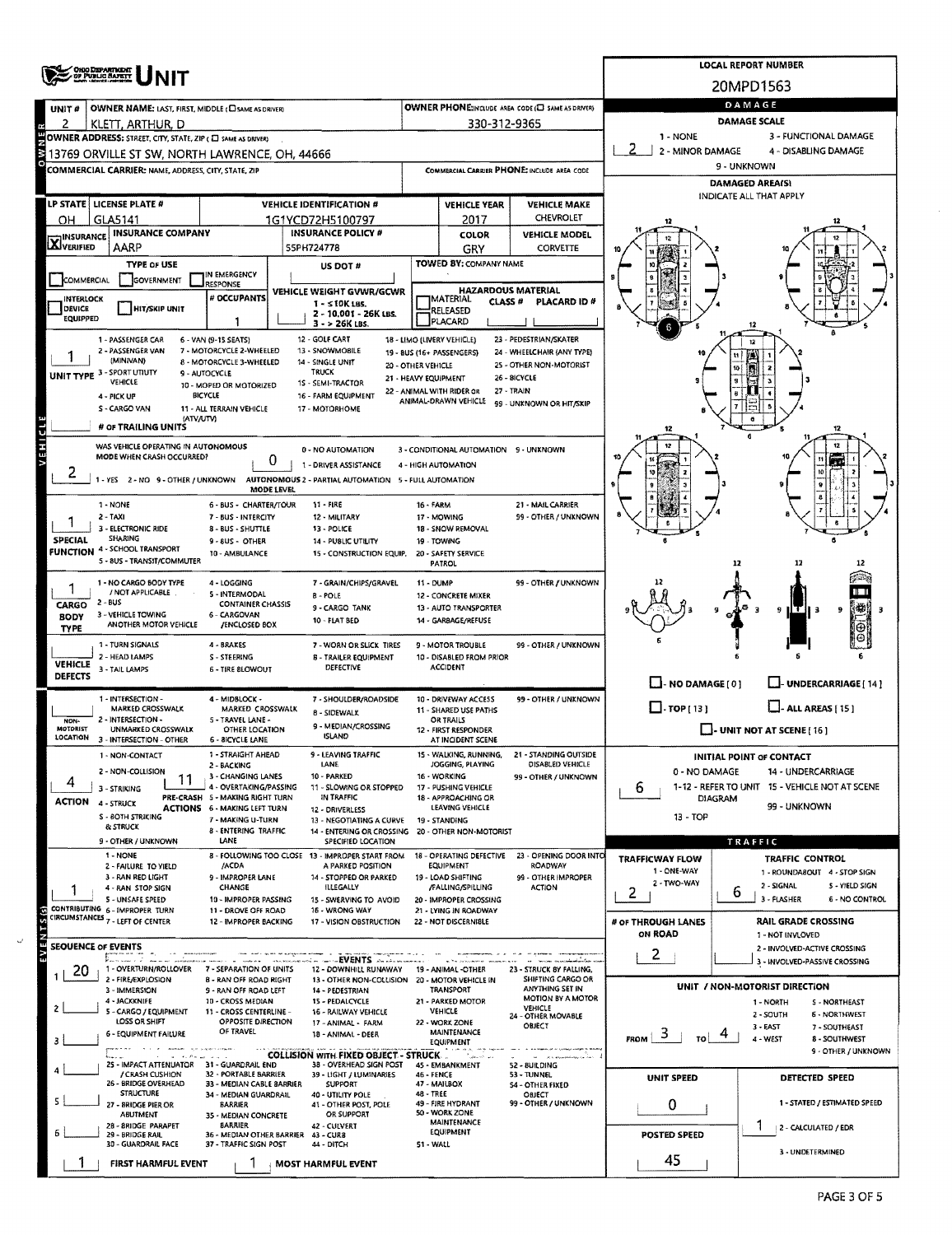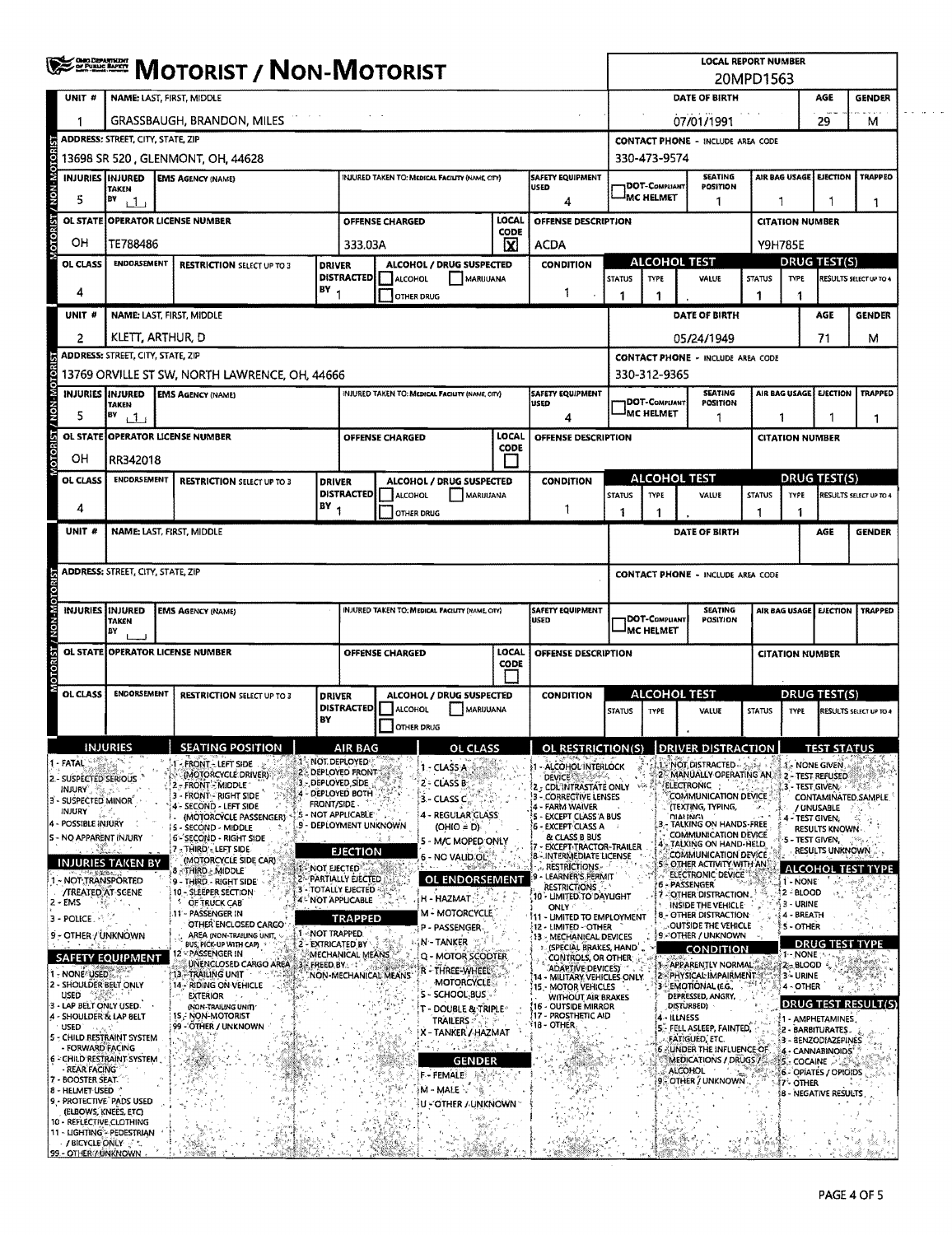|                                                    | <b>WEEFERE MOTORIST / NON-MOTORIST</b>                                                                                    |                                                                     |                                   |                 |                                                                |                                                         |                                                 |                     | <b>LOCAL REPORT NUMBER</b>                                |                                                                 |                                                                   |                                                    |                     |                          |                                                   |                           |  |
|----------------------------------------------------|---------------------------------------------------------------------------------------------------------------------------|---------------------------------------------------------------------|-----------------------------------|-----------------|----------------------------------------------------------------|---------------------------------------------------------|-------------------------------------------------|---------------------|-----------------------------------------------------------|-----------------------------------------------------------------|-------------------------------------------------------------------|----------------------------------------------------|---------------------|--------------------------|---------------------------------------------------|---------------------------|--|
| UNIT #                                             | NAME: LAST, FIRST, MIDDLE                                                                                                 |                                                                     |                                   |                 |                                                                |                                                         |                                                 |                     |                                                           | 20MPD1563<br>DATE OF BIRTH<br>AGE<br><b>GENDER</b>              |                                                                   |                                                    |                     |                          |                                                   |                           |  |
|                                                    | GRASSBAUGH, BRANDON, MILES                                                                                                |                                                                     |                                   |                 |                                                                |                                                         |                                                 |                     |                                                           |                                                                 |                                                                   |                                                    |                     |                          |                                                   |                           |  |
|                                                    |                                                                                                                           | <b>ADDRESS: STREET, CITY, STATE, ZIP</b>                            |                                   |                 |                                                                |                                                         |                                                 |                     |                                                           |                                                                 | 07/01/1991<br>29<br>м<br><b>CONTACT PHONE - INCLUDE AREA CODE</b> |                                                    |                     |                          |                                                   |                           |  |
| OTORIST / NON-MOTOR                                |                                                                                                                           | 13698 SR 520 , GLENMONT, OH, 44628                                  |                                   |                 |                                                                |                                                         |                                                 |                     |                                                           |                                                                 | 330-473-9574                                                      |                                                    |                     |                          |                                                   |                           |  |
|                                                    | SAFETY EQUIPMENT<br><b>INJURIES INJURED</b><br><b>EMS AGENCY (NAME)</b><br>INJURED TAKEN TO: MEDICAL FACILITY (NAME CITY) |                                                                     |                                   |                 |                                                                |                                                         |                                                 |                     |                                                           |                                                                 |                                                                   | <b>SEATING</b>                                     |                     | <b>AIR BAG USAGE</b>     | <b>EJECTION</b>                                   | <b>TRAPPEO</b>            |  |
| 5                                                  | <b>TAKEN</b><br>BV<br>11                                                                                                  |                                                                     |                                   |                 |                                                                |                                                         |                                                 |                     | <b>USED</b><br>4                                          | <b>DOT-COMPLIANT</b><br>POSITION<br><sup>I</sup> MC HELMET<br>1 |                                                                   |                                                    |                     |                          |                                                   | 1                         |  |
|                                                    |                                                                                                                           | OL STATE OPERATOR LICENSE NUMBER                                    |                                   |                 |                                                                | OFFENSE CHARGED                                         |                                                 | LOCAL               | OFFENSE DESCRIPTION                                       |                                                                 |                                                                   |                                                    |                     | <b>CITATION NUMBER</b>   |                                                   |                           |  |
| OН                                                 |                                                                                                                           | TE788486<br>333.03A                                                 |                                   |                 |                                                                |                                                         |                                                 | CODE<br>$\mathbf x$ | <b>ACDA</b>                                               |                                                                 |                                                                   |                                                    | <b>Y9H785E</b>      |                          |                                                   |                           |  |
| OL CLASS                                           | <b>ENDORSEMENT</b><br><b>RESTRICTION SELECT UP TO 3</b><br><b>DRIVER</b>                                                  |                                                                     |                                   |                 | ALCOHOL / DRUG SUSPECTED                                       |                                                         |                                                 | <b>CONDITION</b>    | <b>ALCOHOL TEST</b>                                       |                                                                 |                                                                   |                                                    | <b>DRUG TEST(S)</b> |                          |                                                   |                           |  |
|                                                    | <b>DISTRACTED</b>                                                                                                         |                                                                     |                                   |                 | ALCOHOL<br><b>MARUUANA</b>                                     |                                                         |                                                 |                     | <b>STATUS</b>                                             | <b>TYPE</b>                                                     | VALUE                                                             | <b>STATUS</b>                                      | <b>TYPE</b>         |                          | RESULTS SELECT UP TO 4                            |                           |  |
| 4                                                  |                                                                                                                           | BY<br><b>OTHER DRUG</b>                                             |                                   |                 |                                                                |                                                         |                                                 |                     | 1                                                         | 1                                                               | 1                                                                 |                                                    | 1                   | 1                        |                                                   |                           |  |
| UNIT <sup>#</sup>                                  |                                                                                                                           | NAME: LAST, FIRST, MIDDLE                                           |                                   |                 |                                                                |                                                         |                                                 |                     |                                                           |                                                                 |                                                                   | DATE OF BIRTH                                      |                     |                          | <b>AGE</b>                                        | <b>GENDER</b>             |  |
| 2                                                  | KLETT, ARTHUR, D                                                                                                          |                                                                     |                                   |                 |                                                                |                                                         |                                                 |                     |                                                           |                                                                 |                                                                   | 05/24/1949                                         |                     |                          | 71                                                | м                         |  |
|                                                    | <b>ADDRESS: STREET, CITY, STATE, ZIP</b>                                                                                  |                                                                     |                                   |                 |                                                                |                                                         |                                                 |                     |                                                           |                                                                 |                                                                   | <b>CONTACT PHONE - INCLUDE AREA CODE</b>           |                     |                          |                                                   |                           |  |
|                                                    |                                                                                                                           | 13769 ORVILLE ST SW, NORTH LAWRENCE, OH, 44666                      |                                   |                 |                                                                |                                                         |                                                 |                     |                                                           |                                                                 | 330-312-9365                                                      |                                                    |                     |                          |                                                   |                           |  |
| 5                                                  | INJURIES IINJURED<br><b>TAKEN</b><br>BY<br>$\Box$                                                                         | <b>EMS AGENCY (NAME)</b>                                            |                                   |                 |                                                                |                                                         | INJURED TAKEN TO: MEDICAL FACILITY (NAME, CITY) |                     | <b>SAFETY EQUIPMENT</b><br>USED<br>4                      |                                                                 | <b>DOT-COMPLIANT</b><br><b>IMC HELMET</b>                         | <b>SEATING</b><br>POSITION                         |                     | 1                        | AIR BAG USAGE EJECTION                            | TRAPPED<br>1.             |  |
|                                                    |                                                                                                                           | OL STATE OPERATOR LICENSE NUMBER                                    |                                   |                 |                                                                | OFFENSE CHARGED                                         |                                                 | LOCAL               | OFFENSE DESCRIPTION                                       |                                                                 |                                                                   |                                                    |                     | <b>CITATION NUMBER</b>   |                                                   |                           |  |
| OН                                                 | RR342018                                                                                                                  |                                                                     |                                   |                 |                                                                |                                                         |                                                 | CODE                |                                                           |                                                                 |                                                                   |                                                    |                     |                          |                                                   |                           |  |
| OL CLASS                                           | <b>ENDORSEMENT</b>                                                                                                        |                                                                     | <b>RESTRICTION SELECT UP TO 3</b> |                 | <b>DRIVER</b>                                                  |                                                         | ALCOHOL / DRUG SUSPECTED                        |                     | <b>CONDITION</b>                                          |                                                                 | <b>ALCOHOL TEST</b>                                               |                                                    |                     |                          | DRUG TEST(S)                                      |                           |  |
| 4                                                  |                                                                                                                           |                                                                     |                                   | BY              | DISTRACTED                                                     | ALCOHOL                                                 | MARIJUANA                                       |                     |                                                           | <b>STATUS</b>                                                   | <b>TYPE</b>                                                       | VALUE                                              | <b>STATUS</b>       | TYPE                     |                                                   | RESULTS SELECT UP TO 4    |  |
|                                                    |                                                                                                                           |                                                                     |                                   |                 |                                                                |                                                         | <b>OTHER DRUG</b>                               |                     | 1                                                         | 1                                                               |                                                                   |                                                    |                     | 1                        |                                                   |                           |  |
| UNIT <sup>#</sup>                                  |                                                                                                                           | <b>NAME: LAST, FIRST, MIDDLE</b>                                    |                                   |                 |                                                                |                                                         |                                                 |                     |                                                           |                                                                 |                                                                   | DATE OF BIRTH                                      |                     |                          | AGE                                               | <b>GENDER</b>             |  |
|                                                    |                                                                                                                           |                                                                     |                                   |                 |                                                                |                                                         |                                                 |                     |                                                           |                                                                 |                                                                   |                                                    |                     |                          |                                                   |                           |  |
|                                                    | <b>ADDRESS: STREET, CITY, STATE, ZIP</b>                                                                                  |                                                                     |                                   |                 |                                                                |                                                         |                                                 |                     |                                                           |                                                                 |                                                                   | <b>CONTACT PHONE - INCLUDE AREA CODE</b>           |                     |                          |                                                   |                           |  |
|                                                    |                                                                                                                           |                                                                     |                                   |                 |                                                                |                                                         |                                                 |                     | <b>SAFETY EQUIPMENT</b>                                   |                                                                 |                                                                   | <b>SEATING</b>                                     |                     |                          | AIR BAG USAGE EJECTION                            | <b>TRAPPED</b>            |  |
|                                                    | INJURIES (INJURED<br><b>EMS AGENCY (NAME)</b><br><b>TAKEN</b><br>BY                                                       |                                                                     |                                   |                 | INJURED TAKEN TO: MEDICAL FACILITY (NAME, CITY)<br><b>USED</b> |                                                         |                                                 |                     | DOT-COMPUANT<br>POSITION<br><b>IMC HELMET</b>             |                                                                 |                                                                   |                                                    |                     |                          |                                                   |                           |  |
|                                                    |                                                                                                                           | OL STATE OPERATOR LICENSE NUMBER                                    |                                   |                 |                                                                | LOCAL<br>OFFENSE CHARGED<br>OFFENSE DESCRIPTION         |                                                 |                     |                                                           |                                                                 |                                                                   |                                                    |                     |                          | <b>CITATION NUMBER</b>                            |                           |  |
|                                                    |                                                                                                                           |                                                                     |                                   |                 |                                                                |                                                         |                                                 | <b>CODE</b>         |                                                           |                                                                 |                                                                   |                                                    |                     |                          |                                                   |                           |  |
| OL CLASS                                           | <b>ENDORSEMENT</b>                                                                                                        |                                                                     | <b>RESTRICTION SELECT UP TO 3</b> |                 | <b>DRIVER</b>                                                  |                                                         |                                                 |                     | <b>CONDITION</b>                                          |                                                                 | <b>ALCOHOL TEST</b>                                               |                                                    |                     | DRUG TEST(S)             |                                                   |                           |  |
|                                                    |                                                                                                                           |                                                                     |                                   |                 | <b>DISTRACTED</b>                                              | ALCOHOL / DRUG SUSPECTED<br>ALCOHOL<br><b>MARIJUANA</b> |                                                 |                     |                                                           | <b>STATUS</b>                                                   | TYPE                                                              | VALUE                                              | <b>STATUS</b>       | TYPE                     |                                                   | RESULTS SELECT UP TO 4    |  |
|                                                    |                                                                                                                           |                                                                     |                                   | BY              |                                                                |                                                         | <b>OTHER DRUG</b>                               |                     |                                                           |                                                                 |                                                                   |                                                    |                     |                          |                                                   |                           |  |
|                                                    | <b>INJURIES</b>                                                                                                           |                                                                     | <b>SEATING POSITION</b>           |                 | AIR RAG                                                        |                                                         | OF CLASS                                        |                     | OL RESTRICTION(S) DRIVER DISTRACTION                      |                                                                 |                                                                   |                                                    |                     |                          | <b>TEST STATHS</b>                                |                           |  |
| 1 - FATAL<br>2 - SUSPECTED SERIOUS                 |                                                                                                                           | FRONT - LEFT SIDE<br>(MOTORCYCLE DRIVER)                            |                                   |                 | NOT DEPLOYED<br>2 DEPLOYED FRONT                               |                                                         | I - CLASS A                                     |                     | - ALCOHOL INTERLOCK<br><b>DEVICE</b>                      |                                                                 |                                                                   | NOT DISTRACTED.<br>2 MANUALLY OPERATING AN         |                     |                          | 1. NONE GIVEN<br>2 - TEST REFUSED                 |                           |  |
| <b>INJURY</b>                                      |                                                                                                                           | 2 FRONT MIDDLE<br>3 - FRONT - RIGHT SIDE                            |                                   |                 | 3 - DEPLOYED SIDE<br>4 - DEPLOYED BOTH                         |                                                         | 2 - CLASS B                                     |                     | : CDL'INTRASTATE ONLY<br>12<br>- CORRECTIVE LENSES<br>13  |                                                                 |                                                                   | ELECTRONIC<br>COMMUNICATION DEVICE                 |                     |                          | 3 - TEST GIVEN,                                   | CONTAMINATED SAMPLE.      |  |
| 3'- SUSPECTED MINOR<br>INJURY                      |                                                                                                                           | 4 - SECOND - LEFT SIDE                                              | (MOTORCYCLE PASSENGER)            |                 | FRONT/SIDE.<br>5 - NOT APPLICABLE'                             |                                                         | 3.- CLASS C<br>4 - REGULAR CLASS                |                     | - FARM WAIVER<br><b>EXCEPT CLASS A BUS</b>                |                                                                 |                                                                   | (TEXTING, TYPING,<br><b>DIALING</b> I              |                     |                          | / UNUSABLE<br>4 - TEST GIVEN,                     |                           |  |
| - POSSIBLE INJURY<br><b>S - NO APPARENT INJURY</b> |                                                                                                                           | <b>is - SECOND - MIDDLE</b><br>6-SECOND - RIGHT SIDE                |                                   |                 | -9 - DEPLOYMENT UNKNÖWN                                        |                                                         | $(OHIO = D)$                                    |                     | 6 - EXCEPT CLASS A<br>& CLASS B BUS                       |                                                                 |                                                                   | TALKING ON HANDS-FREE<br>COMMUNICATION DEVICE      |                     |                          | RESULTS KNOWN -                                   |                           |  |
|                                                    |                                                                                                                           | 17 : THIRD's LEFT SIDE.                                             |                                   |                 | <b>EJECTION</b>                                                |                                                         | 5 - M/C MOPED ONLY<br>6 - NO VALID OL           |                     | <b>EXCEPT TRACTOR-TRAILER</b><br>8 - INTERMEDIATE LICENSE |                                                                 |                                                                   | TALKING ON HAND-HELD.<br>COMMUNICATION DEVICE      |                     |                          | 5 - TEST GIVEN,<br>RESULTS UNKNOWN                |                           |  |
|                                                    | INJURIES TAKEN BY                                                                                                         | (MOTORCYCLE SIDE CAR)<br>8 - THIRD - MIDDLE                         |                                   | 1 - NOT EJECTED |                                                                |                                                         |                                                 |                     | <b>RESTRICTIONS</b><br>- LEARNER'S PERMIT                 |                                                                 |                                                                   | OTHER ACTIVITY WITH AN<br>ELECTRONIC DEVICE        |                     |                          |                                                   | <b>ALCOHOL TEST TYPE</b>  |  |
| 1 - NOT TRANSPORTED<br><b>/TREATED AT SCENE</b>    |                                                                                                                           | 9 - THIRD - RIGHT SIDE<br>10 - SLEEPER SECTION                      |                                   |                 | 2 - PARTIALLY EJECTED<br>3 - TOTALLY EJECTED                   |                                                         | OL ENDORSEMENT                                  |                     | <b>RESTRICTIONS</b><br>10 - LIMITED TO DAYLIGHT           |                                                                 |                                                                   | 6 - PASSENGER<br>7 - OTHER DISTRACTION.            |                     | 1 - NONE<br>‡2 - BLOOD   |                                                   |                           |  |
| $2 - EMS$                                          |                                                                                                                           | OF TRUCK CAB<br>11 - PASSENGER IN                                   |                                   |                 | 4 - NOT APPLICABLE                                             |                                                         | H - HAZMAT<br>M - MOTORCYCLE                    |                     | <b>ONLY</b>                                               |                                                                 |                                                                   | INSIDE THE VEHICLE<br>8 - OTHER DISTRACTION        |                     | ∫3 - URINE<br>4 - BREATH |                                                   |                           |  |
| 3 - POLICE.                                        |                                                                                                                           |                                                                     | OTHER ENCLOSED CARGO              | I - NOT TRAPPED | TRAPPED                                                        |                                                         | <b>P - PASSENGER</b>                            |                     | <b>11 - UMITED TO EMPLOYMENT</b><br>12 - LIMITED - OTHER  |                                                                 |                                                                   | OUTSIDE THE VEHICLE                                |                     | :5 - OTHER               |                                                   |                           |  |
| 9 - OTHER / UNKNOWN                                |                                                                                                                           | AREA (NON-TRAIUNG UNIT,<br>BUS, PICK-UP WITH CAP)<br>- PASSENGER IN |                                   |                 | 2 - EXTRICATED BY<br>MECHANICAL MEANS                          |                                                         | N - TANKER                                      |                     | 13 - MECHANICAL DEVICES<br>(SPECIAL BRAKES, HAND          |                                                                 |                                                                   | 9 - OTHER / UNKNOWN<br>CONDITION                   |                     | 1 - NONE                 | <b>DRUG TEST TYPE</b>                             |                           |  |
|                                                    | <b>SAFETY EQUIPMENT</b>                                                                                                   |                                                                     | UNENCLOSED CARGO AREA             | FREED BY        |                                                                |                                                         | Q - MOTOR SCODTER<br>- THREE WHEEL              |                     | CONTROLS, OR OTHER<br>ADAPTIVE DEVICES)                   |                                                                 |                                                                   | APPARENTLY NORMAL <sup>®</sup>                     |                     | 22-8LOOD                 |                                                   |                           |  |
| 1 - NONE USED<br>2 - SHOULDER BELT ONLY            |                                                                                                                           | 13. TRAILING UNIT<br>14 - RIDING ON VEHICLE                         |                                   |                 | NON-MECHANICAL MEANS                                           |                                                         | <b>MOTORCYCLE</b>                               |                     | - MILITARY VEHICLES ONLY<br><b>15 - MOTOR VEHICLES</b>    |                                                                 |                                                                   | 2 - PHYSICAL IMPAIRMENT<br>3 - EMOTIONAL (E.G.,    |                     | ∫3≒ URINE<br>4 - OTHER   |                                                   | E 76.                     |  |
| <b>USED</b><br>3 - LAP BELT ONLY USED.             |                                                                                                                           | EXTERIOR<br>(NON-TRAILING UNIT)                                     |                                   |                 |                                                                |                                                         | S - SCHOOL BUS<br>T - DOUBLE & TRIPLE           |                     | WITHOUT AIR BRAKES<br>16 - OUTSIDE MIRROR                 |                                                                 |                                                                   | DEPRESSED, ANGRY,<br>DISTURBED)                    |                     |                          |                                                   | <b>DRUG TEST RESULT(S</b> |  |
| 4 - SHOULDER & LAP BELT<br><b>USED</b>             |                                                                                                                           | 1S - NON-MOTORIST<br>99 - OTHER / UNKNOWN                           |                                   |                 |                                                                |                                                         | <b>TRAILERS:</b>                                |                     | (17 - PROSTHETIC AID<br>18 - OTHER                        |                                                                 | 4 - ILLNESS                                                       | 5 - FELL ASLEEP, FAINTED,                          |                     |                          | š1 - AMPHETAMINES,<br>2 - BARBITURATES.           |                           |  |
| - FORWARD FACING                                   | 5 - CHILD RESTRAINT SYSTEM                                                                                                |                                                                     |                                   |                 |                                                                |                                                         | X – TANKER / HAZMAT                             |                     |                                                           |                                                                 |                                                                   | FATIGUED, ETC.<br><b>6 AUNDER THE INFLUENCE OF</b> |                     |                          | 3 - BENZODIAZEPINES                               |                           |  |
|                                                    | 6 - CHILD RESTRAINT SYSTEM                                                                                                |                                                                     |                                   |                 |                                                                |                                                         | <b>GENDER</b>                                   |                     |                                                           |                                                                 |                                                                   | MEDICATIONS / DRUGS /                              |                     |                          | 4 - CANNABINOIDS"<br>$15 - COCAINE \rightarrow 2$ |                           |  |
| - REAR FACING<br>7 - BOOSTER SEAT.                 |                                                                                                                           |                                                                     |                                   |                 |                                                                |                                                         | F - FEMALE                                      |                     |                                                           |                                                                 |                                                                   | <b>ALCOHOL</b><br>9 OTHER / UNKNOWN                |                     | 7 OTHER                  | 6 - OPIATES / OPIOIDS                             |                           |  |
| 8 - HELMET USED                                    | 9 - PROTECTIVE PADS USED                                                                                                  |                                                                     |                                   |                 |                                                                |                                                         | ¦M - MALE √ `§<br>U - OTHER AUNKNOWN            |                     |                                                           |                                                                 |                                                                   |                                                    |                     |                          | <b>8 - NEGATIVE RESULTS</b>                       |                           |  |
| (ELBOWS, KNEES, ETC)<br>10 - REFLECTIVE CLOTHING   |                                                                                                                           |                                                                     |                                   |                 |                                                                |                                                         |                                                 |                     |                                                           |                                                                 |                                                                   |                                                    |                     |                          |                                                   |                           |  |
| <b>/BICYCLE ONLY 3 1.</b>                          | 11 - LIGHTING - PEDESTRIAN                                                                                                |                                                                     |                                   |                 |                                                                |                                                         | <b>Setting</b>                                  |                     |                                                           |                                                                 |                                                                   |                                                    |                     |                          |                                                   |                           |  |
| 99 - OTHER / UNKNOWN                               |                                                                                                                           |                                                                     |                                   |                 |                                                                |                                                         |                                                 |                     |                                                           |                                                                 |                                                                   |                                                    |                     |                          |                                                   |                           |  |